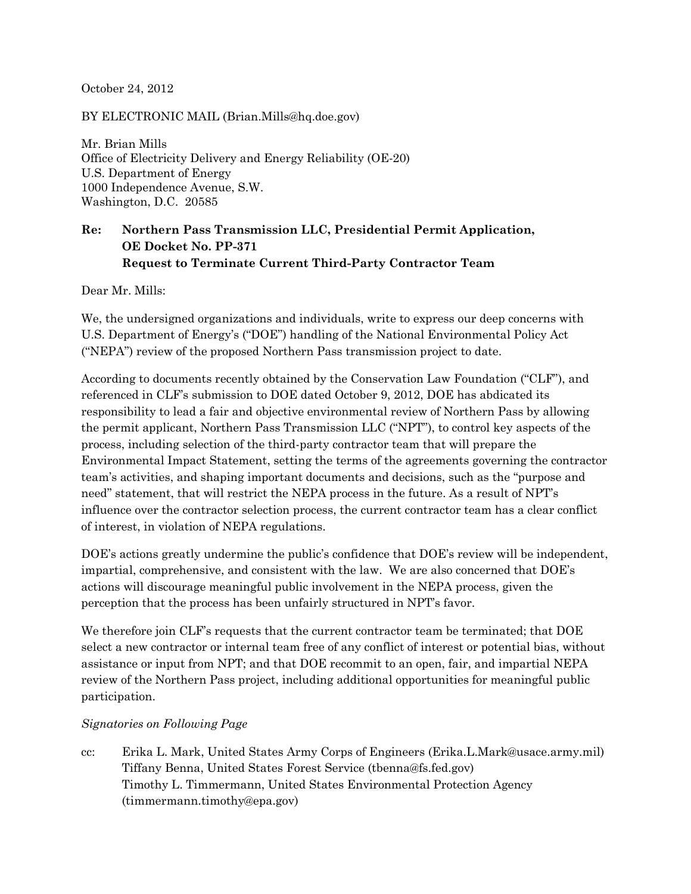October 24, 2012

BY ELECTRONIC MAIL (Brian.Mills@hq.doe.gov)

Mr. Brian Mills Office of Electricity Delivery and Energy Reliability (OE‐20) U.S. Department of Energy 1000 Independence Avenue, S.W. Washington, D.C. 20585

## **Re: Northern Pass Transmission LLC, Presidential Permit Application, OE Docket No. PP-371 Request to Terminate Current Third-Party Contractor Team**

Dear Mr. Mills:

We, the undersigned organizations and individuals, write to express our deep concerns with U.S. Department of Energy's ("DOE") handling of the National Environmental Policy Act ("NEPA") review of the proposed Northern Pass transmission project to date.

According to documents recently obtained by the Conservation Law Foundation ("CLF"), and referenced in CLF's submission to DOE dated October 9, 2012, DOE has abdicated its responsibility to lead a fair and objective environmental review of Northern Pass by allowing the permit applicant, Northern Pass Transmission LLC ("NPT"), to control key aspects of the process, including selection of the third-party contractor team that will prepare the Environmental Impact Statement, setting the terms of the agreements governing the contractor team's activities, and shaping important documents and decisions, such as the "purpose and need" statement, that will restrict the NEPA process in the future. As a result of NPT's influence over the contractor selection process, the current contractor team has a clear conflict of interest, in violation of NEPA regulations.

DOE's actions greatly undermine the public's confidence that DOE's review will be independent, impartial, comprehensive, and consistent with the law. We are also concerned that DOE's actions will discourage meaningful public involvement in the NEPA process, given the perception that the process has been unfairly structured in NPT's favor.

We therefore join CLF's requests that the current contractor team be terminated; that DOE select a new contractor or internal team free of any conflict of interest or potential bias, without assistance or input from NPT; and that DOE recommit to an open, fair, and impartial NEPA review of the Northern Pass project, including additional opportunities for meaningful public participation.

## *Signatories on Following Page*

cc: Erika L. Mark, United States Army Corps of Engineers (Erika.L.Mark@usace.army.mil) Tiffany Benna, United States Forest Service (tbenna@fs.fed.gov) Timothy L. Timmermann, United States Environmental Protection Agency (timmermann.timothy@epa.gov)